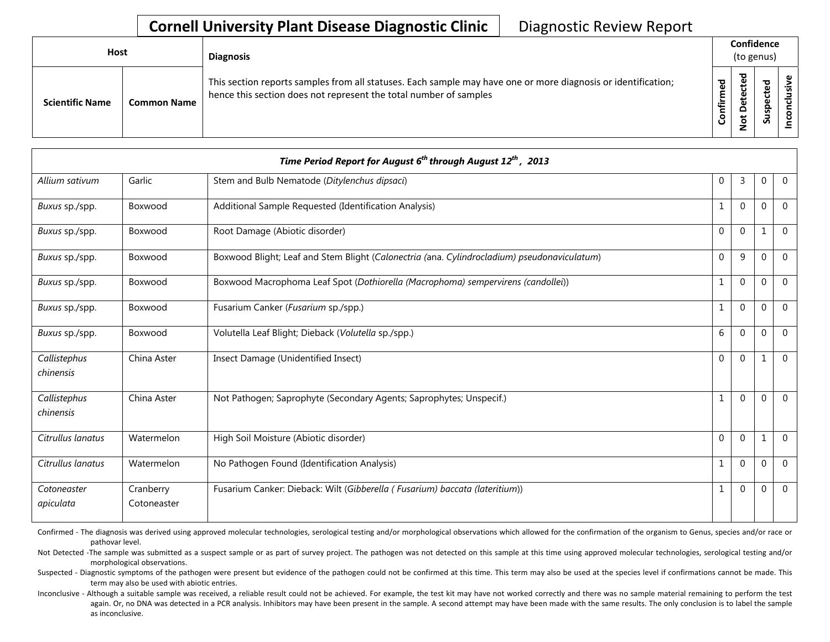| <b>Host</b>            |                    | <b>Diagnosis</b>                                                                                                                                                                   |                      | Confidence<br>(to genus)                    |                          |   |  |  |  |
|------------------------|--------------------|------------------------------------------------------------------------------------------------------------------------------------------------------------------------------------|----------------------|---------------------------------------------|--------------------------|---|--|--|--|
| <b>Scientific Name</b> | <b>Common Name</b> | This section reports samples from all statuses. Each sample may have one or more diagnosis or identification;<br>hence this section does not represent the total number of samples | შ<br>ზ<br>Ě<br>onfir | ᅙ<br>$\mathbf \omega$<br>پ<br>t<br><u>۽</u> | ᇃ<br>سد<br>ဒ္ဓ<br>∍<br>Ū | ω |  |  |  |

| Time Period Report for August $6^{th}$ through August $12^{th}$ , 2013 |                          |                                                                                             |              |              |              |                |  |  |  |
|------------------------------------------------------------------------|--------------------------|---------------------------------------------------------------------------------------------|--------------|--------------|--------------|----------------|--|--|--|
| Allium sativum                                                         | Garlic                   | Stem and Bulb Nematode (Ditylenchus dipsaci)                                                | $\mathbf 0$  | 3            | $\mathbf 0$  | $\mathbf 0$    |  |  |  |
| Buxus sp./spp.                                                         | Boxwood                  | Additional Sample Requested (Identification Analysis)                                       | $\mathbf{1}$ | $\Omega$     | $\Omega$     | $\Omega$       |  |  |  |
| Buxus sp./spp.                                                         | Boxwood                  | Root Damage (Abiotic disorder)                                                              | $\mathbf 0$  | $\mathbf{0}$ | 1            | $\mathbf 0$    |  |  |  |
| Buxus sp./spp.                                                         | Boxwood                  | Boxwood Blight; Leaf and Stem Blight (Calonectria (ana. Cylindrocladium) pseudonaviculatum) | $\mathbf 0$  | 9            | $\mathbf{0}$ | $\Omega$       |  |  |  |
| Buxus sp./spp.                                                         | Boxwood                  | Boxwood Macrophoma Leaf Spot (Dothiorella (Macrophoma) sempervirens (candollei))            | $\mathbf{1}$ | $\mathbf 0$  | $\mathbf{0}$ | $\Omega$       |  |  |  |
| Buxus sp./spp.                                                         | Boxwood                  | Fusarium Canker (Fusarium sp./spp.)                                                         | 1            | $\mathbf 0$  | $\mathbf 0$  | $\mathbf{0}$   |  |  |  |
| Buxus sp./spp.                                                         | Boxwood                  | Volutella Leaf Blight; Dieback (Volutella sp./spp.)                                         | 6            | $\Omega$     | $\Omega$     | $\Omega$       |  |  |  |
| Callistephus<br>chinensis                                              | China Aster              | Insect Damage (Unidentified Insect)                                                         | $\mathbf{0}$ | $\mathbf{0}$ | $\mathbf{1}$ | $\Omega$       |  |  |  |
| Callistephus<br>chinensis                                              | China Aster              | Not Pathogen; Saprophyte (Secondary Agents; Saprophytes; Unspecif.)                         | $\mathbf{1}$ | $\mathbf{0}$ | $\mathbf 0$  | $\mathbf{0}$   |  |  |  |
| Citrullus lanatus                                                      | Watermelon               | High Soil Moisture (Abiotic disorder)                                                       | $\Omega$     | $\Omega$     | 1            | $\overline{0}$ |  |  |  |
| Citrullus lanatus                                                      | Watermelon               | No Pathogen Found (Identification Analysis)                                                 | $\mathbf{1}$ | $\mathbf{0}$ | $\mathbf{0}$ | $\mathbf 0$    |  |  |  |
| Cotoneaster<br>apiculata                                               | Cranberry<br>Cotoneaster | Fusarium Canker: Dieback: Wilt (Gibberella (Fusarium) baccata (lateritium))                 | 1            | $\mathbf{0}$ | $\Omega$     | $\mathbf{0}$   |  |  |  |

Confirmed - The diagnosis was derived using approved molecular technologies, serological testing and/or morphological observations which allowed for the confirmation of the organism to Genus, species and/or race or pathovar level.

Not Detected -The sample was submitted as a suspect sample or as part of survey project. The pathogen was not detected on this sample at this time using approved molecular technologies, serological testing and/or morphological observations.

Suspected - Diagnostic symptoms of the pathogen were present but evidence of the pathogen could not be confirmed at this time. This term may also be used at the species level if confirmations cannot be made. This term may also be used with abiotic entries.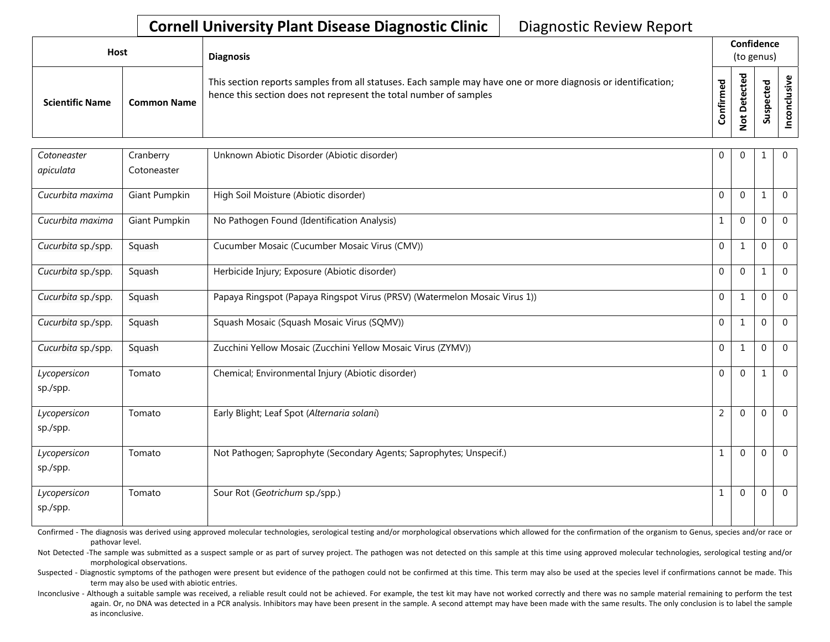| <b>Host</b>            |                    | <b>Diagnosis</b>                                                                                                                                                                   |          | Confidence<br>(to genus) |                              |                                |  |  |
|------------------------|--------------------|------------------------------------------------------------------------------------------------------------------------------------------------------------------------------------|----------|--------------------------|------------------------------|--------------------------------|--|--|
| <b>Scientific Name</b> | <b>Common Name</b> | This section reports samples from all statuses. Each sample may have one or more diagnosis or identification;<br>hence this section does not represent the total number of samples | ਠ<br>tir | ى                        | ᇃ<br>உ<br>௨<br><u>ທ</u><br>ທ | $\ddot{\phantom{0}}$<br>s<br>ဒ |  |  |

| Cotoneaster              | Cranberry     | Unknown Abiotic Disorder (Abiotic disorder)                                | $\mathbf 0$    | $\Omega$     | 1        | $\mathbf 0$  |
|--------------------------|---------------|----------------------------------------------------------------------------|----------------|--------------|----------|--------------|
| apiculata                | Cotoneaster   |                                                                            |                |              |          |              |
| Cucurbita maxima         | Giant Pumpkin | High Soil Moisture (Abiotic disorder)                                      | $\Omega$       | $\Omega$     |          | $\Omega$     |
| Cucurbita maxima         | Giant Pumpkin | No Pathogen Found (Identification Analysis)                                | $\mathbf{1}$   | $\Omega$     | $\Omega$ | $\Omega$     |
| Cucurbita sp./spp.       | Squash        | Cucumber Mosaic (Cucumber Mosaic Virus (CMV))                              | $\Omega$       | $\mathbf{1}$ | $\Omega$ | $\Omega$     |
| Cucurbita sp./spp.       | Squash        | Herbicide Injury; Exposure (Abiotic disorder)                              | $\overline{0}$ | $\Omega$     | 1        | $\mathbf 0$  |
| Cucurbita sp./spp.       | Squash        | Papaya Ringspot (Papaya Ringspot Virus (PRSV) (Watermelon Mosaic Virus 1)) | $\mathbf 0$    | $\mathbf{1}$ | $\Omega$ | $\mathbf{0}$ |
| Cucurbita sp./spp.       | Squash        | Squash Mosaic (Squash Mosaic Virus (SQMV))                                 | $\mathbf 0$    | $\mathbf{1}$ | $\Omega$ | $\mathbf 0$  |
| Cucurbita sp./spp.       | Squash        | Zucchini Yellow Mosaic (Zucchini Yellow Mosaic Virus (ZYMV))               | $\Omega$       | $\mathbf{1}$ | $\Omega$ | $\Omega$     |
| Lycopersicon<br>sp./spp. | Tomato        | Chemical; Environmental Injury (Abiotic disorder)                          | $\Omega$       | $\Omega$     |          | $\Omega$     |
| Lycopersicon<br>sp./spp. | Tomato        | Early Blight; Leaf Spot (Alternaria solani)                                | $\overline{2}$ | $\Omega$     | $\Omega$ | $\Omega$     |
| Lycopersicon<br>sp./spp. | Tomato        | Not Pathogen; Saprophyte (Secondary Agents; Saprophytes; Unspecif.)        | $1\,$          | $\Omega$     | $\Omega$ | $\Omega$     |
| Lycopersicon<br>sp./spp. | Tomato        | Sour Rot (Geotrichum sp./spp.)                                             | $\mathbf{1}$   | $\Omega$     | $\Omega$ | $\Omega$     |

Confirmed - The diagnosis was derived using approved molecular technologies, serological testing and/or morphological observations which allowed for the confirmation of the organism to Genus, species and/or race or pathovar level.

Not Detected -The sample was submitted as a suspect sample or as part of survey project. The pathogen was not detected on this sample at this time using approved molecular technologies, serological testing and/or morphological observations.

Suspected - Diagnostic symptoms of the pathogen were present but evidence of the pathogen could not be confirmed at this time. This term may also be used at the species level if confirmations cannot be made. This term may also be used with abiotic entries.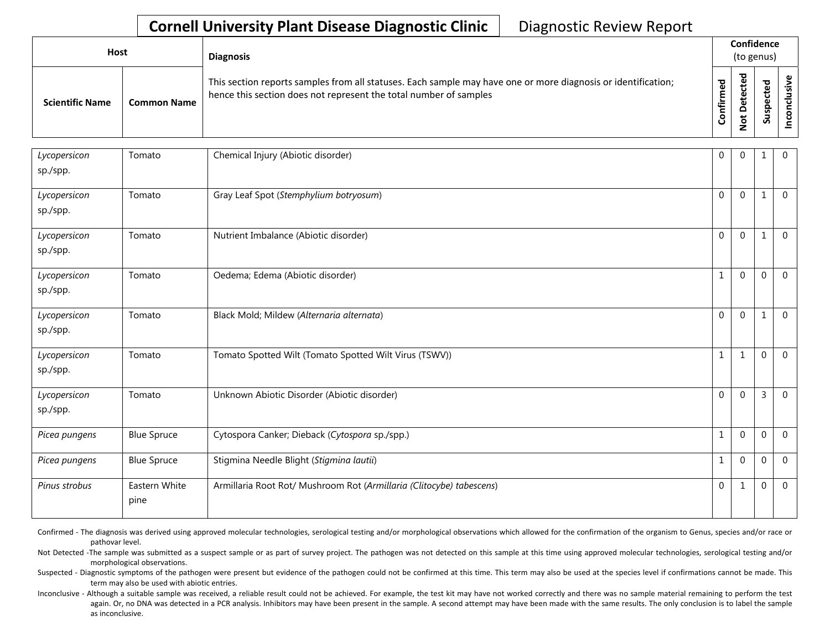| <b>Host</b>            |                    | <b>Diagnosis</b>                                                                                                                                                                   |                 | Confidence<br>(to genus) |             |   |  |  |
|------------------------|--------------------|------------------------------------------------------------------------------------------------------------------------------------------------------------------------------------|-----------------|--------------------------|-------------|---|--|--|
| <b>Scientific Name</b> | <b>Common Name</b> | This section reports samples from all statuses. Each sample may have one or more diagnosis or identification;<br>hence this section does not represent the total number of samples | ဥ<br>Ě<br>onfir | ठ<br>پ<br>پ<br>S         | ᇴ<br>௨<br>៹ | ں |  |  |

| Lycopersicon<br>sp./spp. | Tomato                | Chemical Injury (Abiotic disorder)                                   | $\mathbf 0$      | $\Omega$     | 1            | $\mathbf{0}$   |
|--------------------------|-----------------------|----------------------------------------------------------------------|------------------|--------------|--------------|----------------|
| Lycopersicon<br>sp./spp. | Tomato                | Gray Leaf Spot (Stemphylium botryosum)                               | $\Omega$         | $\Omega$     | $\mathbf{1}$ | $\mathbf{0}$   |
| Lycopersicon<br>sp./spp. | Tomato                | Nutrient Imbalance (Abiotic disorder)                                | $\mathbf 0$      | $\Omega$     | 1            | $\mathbf{0}$   |
| Lycopersicon<br>sp./spp. | Tomato                | Oedema; Edema (Abiotic disorder)                                     | $\mathbf 1$      | $\Omega$     | $\Omega$     | $\mathbf{0}$   |
| Lycopersicon<br>sp./spp. | Tomato                | Black Mold; Mildew (Alternaria alternata)                            | $\mathbf 0$      | $\Omega$     | 1            | $\overline{0}$ |
| Lycopersicon<br>sp./spp. | Tomato                | Tomato Spotted Wilt (Tomato Spotted Wilt Virus (TSWV))               | $\mathbf 1$      | $\mathbf{1}$ | $\Omega$     | $\overline{0}$ |
| Lycopersicon<br>sp./spp. | Tomato                | Unknown Abiotic Disorder (Abiotic disorder)                          | $\mathbf 0$      | $\Omega$     | 3            | $\mathbf 0$    |
| Picea pungens            | <b>Blue Spruce</b>    | Cytospora Canker; Dieback (Cytospora sp./spp.)                       | $\mathbf{1}$     | $\mathbf{0}$ | $\mathbf 0$  | $\overline{0}$ |
| Picea pungens            | <b>Blue Spruce</b>    | Stigmina Needle Blight (Stigmina lautii)                             | $\mathbf 1$      | $\mathbf{0}$ | $\mathbf 0$  | $\Omega$       |
| Pinus strobus            | Eastern White<br>pine | Armillaria Root Rot/ Mushroom Rot (Armillaria (Clitocybe) tabescens) | $\boldsymbol{0}$ | $\mathbf{1}$ | $\mathbf 0$  | $\Omega$       |

Confirmed - The diagnosis was derived using approved molecular technologies, serological testing and/or morphological observations which allowed for the confirmation of the organism to Genus, species and/or race or pathovar level.

Not Detected -The sample was submitted as a suspect sample or as part of survey project. The pathogen was not detected on this sample at this time using approved molecular technologies, serological testing and/or morphological observations.

Suspected - Diagnostic symptoms of the pathogen were present but evidence of the pathogen could not be confirmed at this time. This term may also be used at the species level if confirmations cannot be made. This term may also be used with abiotic entries.